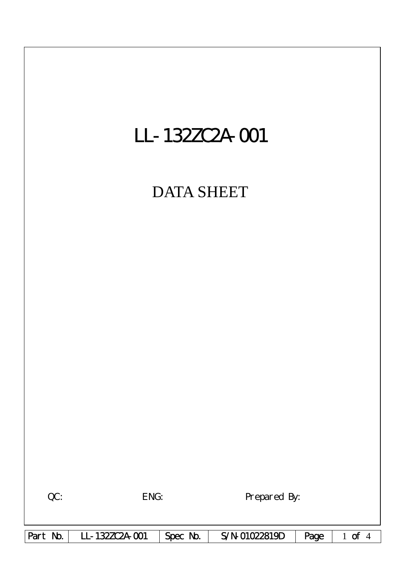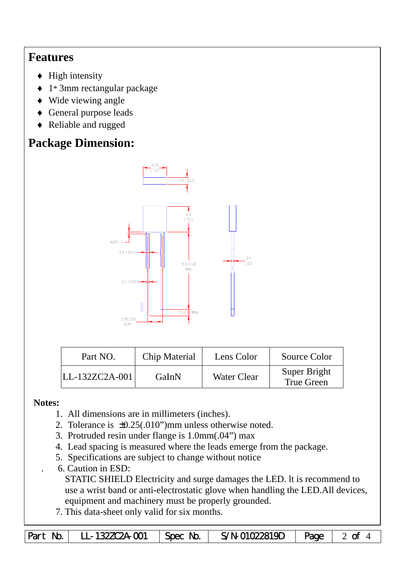## **Features**

- $\blacklozenge$  High intensity
- ♦ 1\* 3mm rectangular package
- ♦ Wide viewing angle
- ♦ General purpose leads
- ♦ Reliable and rugged

# **Package Dimension:**



| Part NO.       | Chip Material | Lens Color         | Source Color                      |
|----------------|---------------|--------------------|-----------------------------------|
| LL-132ZC2A-001 | GaInN         | <b>Water Clear</b> | Super Bright<br><b>True Green</b> |

### **Notes:**

- 1. All dimensions are in millimeters (inches).
- 2. Tolerance is ±0.25(.010")mm unless otherwise noted.
- 3. Protruded resin under flange is 1.0mm(.04") max
- 4. Lead spacing is measured where the leads emerge from the package.
- 5. Specifications are subject to change without notice
- . 6. Caution in ESD:

STATIC SHIELD Electricity and surge damages the LED. lt is recommend to use a wrist band or anti-electrostatic glove when handling the LED.All devices, equipment and machinery must be properly grounded.

7. This data-sheet only valid for six months.

|  | Part No. LL-132ZC2A-001 | $\vert$ Spec No. $\vert$ | $S/N$ -01022819D $\vert$ Page $\vert$ 2 of 4 |  |  |
|--|-------------------------|--------------------------|----------------------------------------------|--|--|
|--|-------------------------|--------------------------|----------------------------------------------|--|--|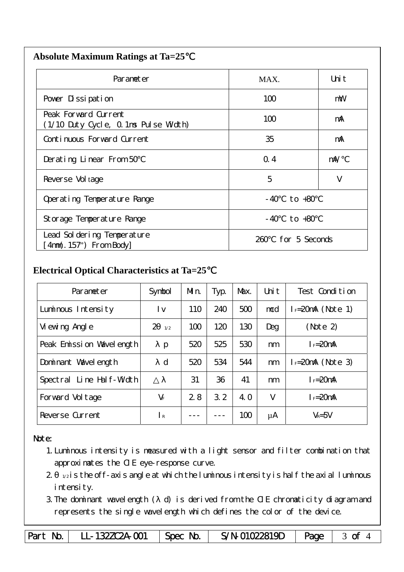| <b>Absolute Maximum Ratings at Ta=25</b> |  |
|------------------------------------------|--|
|                                          |  |

| Parameter                                                    | MAX.                 | Uni t      |
|--------------------------------------------------------------|----------------------|------------|
| Pover Dissipation                                            | 100                  | mW         |
| Peak Forward Current<br>(1/10 Duty Cycle, 0.1ms Pulse Width) | 100                  | mA         |
| Continuous Forward Current                                   | 35                   | mA         |
| Derating Linear From 50                                      | Q.4                  | $m\lambda$ |
| Reverse Vol tage                                             | 5                    | V          |
| Operating Temperature Range                                  | $-40$ to $+80$       |            |
| Storage Temperature Range                                    | $-40$ to $+80$       |            |
| Lead Sol dering Temperature<br>$4mm(.157")$ From Body        | for 5 Seconds<br>260 |            |

#### **Electrical Optical Characteristics at Ta=25**℃

| Parameter                   | Symbol                | Mn. | Typ. | Max. | Uni t  | Test Condition      |
|-----------------------------|-----------------------|-----|------|------|--------|---------------------|
| Luminous Intensity          | l v                   | 110 | 240  | 500  | mcd    | $I = 20mA$ (Note 1) |
| Vi ewing Angl e             | $\overline{2}$<br>1/2 | 100 | 120  | 130  | Deg    | (Note 2)            |
| Peak Emission Wavelength    | p                     | 520 | 525  | 530  | nm     | $I_F = 20$ mA       |
| Dominant Wavelength         | $\mathbf d$           | 520 | 534  | 544  | nm     | $I = 20mA$ (Note 3) |
| Line Half-Width<br>Spectral |                       | 31  | 36   | 41   | nm     | $I_F = 20$ mA       |
| Forward Voltage             | $V_F$                 | 2.8 | 3.2  | 4. O | $\vee$ | $I_F = 20$ mA       |
| Reverse Current             | $\mathsf{R}$          |     |      | 100  | μA     | $V_R = 5V$          |

#### Note:

- 1.Luminous intensity is measured with a light sensor and filter combination that approximates the CIE eye-response curve.
- $2 1/2$  is the off-axis angle at which the luminous intensity is half the axial luminous i ntensity.
- 3.The dominant wavelength ( d) is derived from the CIE chromaticity diagram and represents the single wavelength which defines the color of the device.

Part No. | LL-132ZC2A-001 | Spec No. | S/N-01022819D | Page | 3 of 4